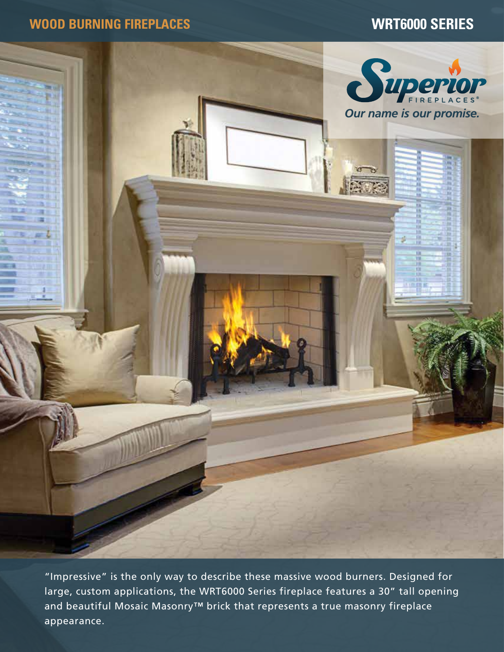**WOOD BURNING FIREPLACES WRT6000 SERIES**



"Impressive" is the only way to describe these massive wood burners. Designed for large, custom applications, the WRT6000 Series fireplace features a 30" tall opening and beautiful Mosaic Masonry™ brick that represents a true masonry fireplace appearance.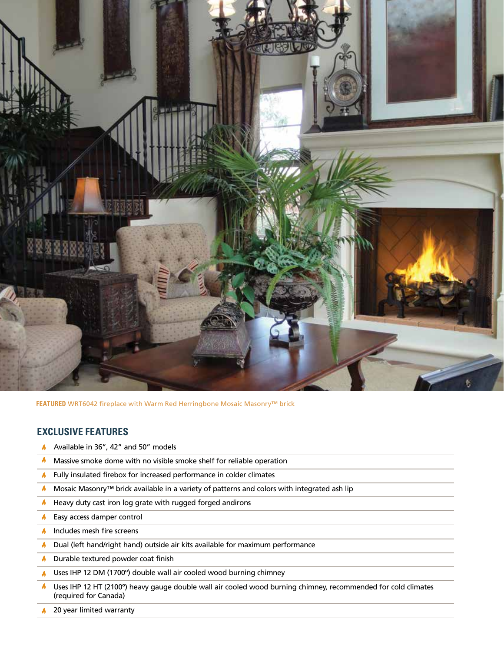

**FEATURED** WRT6042 fireplace with Warm Red Herringbone Mosaic Masonry™ brick

## **EXCLUSIVE FEATURES**

- Available in 36", 42" and 50" models
- $\blacklozenge$ Massive smoke dome with no visible smoke shelf for reliable operation
- **A** Fully insulated firebox for increased performance in colder climates
- $\blacklozenge$ Mosaic Masonry™ brick available in a variety of patterns and colors with integrated ash lip
- $\bigwedge$  Heavy duty cast iron log grate with rugged forged andirons
- Easy access damper control  $\overline{\mathbf{A}}$
- $\uparrow$  Includes mesh fire screens
- Dual (left hand/right hand) outside air kits available for maximum performance  $\mathbf{v}$
- Durable textured powder coat finish
- Uses IHP 12 DM (1700º) double wall air cooled wood burning chimney A.
- $\blacklozenge$ Uses IHP 12 HT (2100º) heavy gauge double wall air cooled wood burning chimney, recommended for cold climates (required for Canada)
- $\blacklozenge$ 20 year limited warranty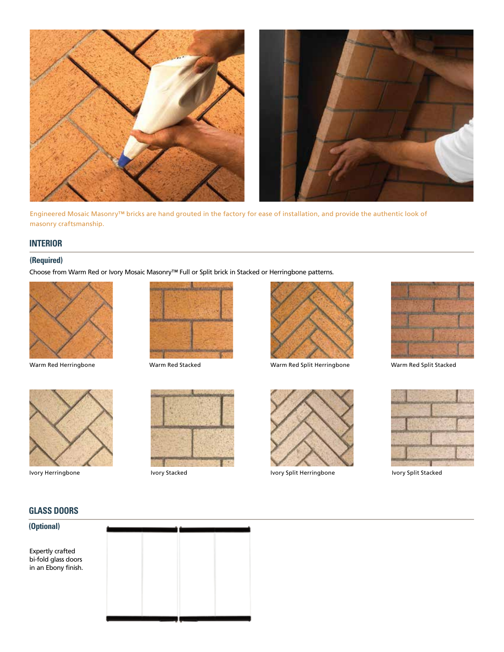

Engineered Mosaic Masonry™ bricks are hand grouted in the factory for ease of installation, and provide the authentic look of masonry craftsmanship.

## **INTERIOR**

## **(Required)**

Choose from Warm Red or Ivory Mosaic Masonry™ Full or Split brick in Stacked or Herringbone patterns.



Warm Red Herringbone



Warm Red Stacked



Warm Red Split Herringbone Warm Red Split Stacked





Ivory Herringbone



Ivory Stacked



Ivory Split Herringbone



Ivory Split Stacked

## **GLASS DOORS**

## **(Optional)**

Expertly crafted bi-fold glass doors in an Ebony finish.